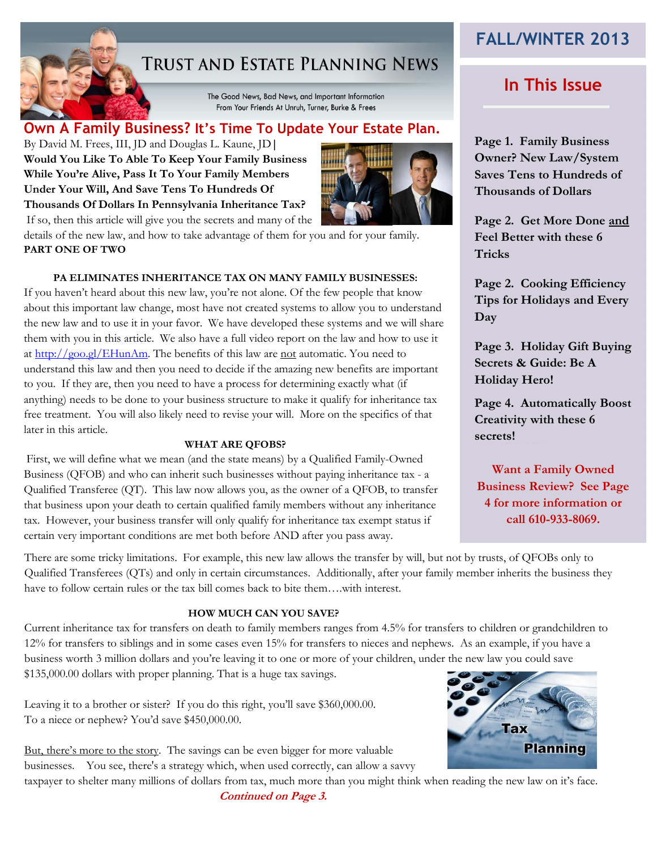# **TRUST AND ESTATE PLANNING NEWS**

The Good News, Bad News, and Important Information From Your Friends At Unruh, Turner, Burke & Frees

# **Own A Family Business? It's Time To Update Your Estate Plan. R**

By David M. Frees, III, JD and Douglas L. Kaune, JD**| Would You Like To Able To Keep Your Family Business While You're Alive, Pass It To Your Family Members Under Your Will, And Save Tens To Hundreds Of Thousands Of Dollars In Pennsylvania Inheritance Tax?** If so, then this article will give you the secrets and many of the



details of the new law, and how to take advantage of them for you and for your family. **PART ONE OF TWO**

### **PA ELIMINATES INHERITANCE TAX ON MANY FAMILY BUSINESSES:**

If you haven't heard about this new law, you're not alone. Of the few people that know about this important law change, most have not created systems to allow you to understand the new law and to use it in your favor. We have developed these systems and we will share them with you in this article. We also have a full video report on the law and how to use it at [http://goo.gl/EHunAm.](http://goo.gl/EHunAm) The benefits of this law are not automatic. You need to understand this law and then you need to decide if the amazing new benefits are important to you. If they are, then you need to have a process for determining exactly what (if anything) needs to be done to your business structure to make it qualify for inheritance tax free treatment. You will also likely need to revise your will. More on the specifics of that later in this article.

### **WHAT ARE QFOBS?**

First, we will define what we mean (and the state means) by a Qualified Family-Owned Business (QFOB) and who can inherit such businesses without paying inheritance tax - a Qualified Transferee (QT). This law now allows you, as the owner of a QFOB, to transfer that business upon your death to certain qualified family members without any inheritance tax. However, your business transfer will only qualify for inheritance tax exempt status if certain very important conditions are met both before AND after you pass away.

# **FALL/WINTER 2013**

# **In This Issue**

**Page 1. Family Business Owner? New Law/System Saves Tens to Hundreds of Thousands of Dollars**

**Page 2. Get More Done and Feel Better with these 6 Tricks**

**Page 2. Cooking Efficiency Tips for Holidays and Every Day**

**Page 3. Holiday Gift Buying Secrets & Guide: Be A Holiday Hero!**

**Page 4. Automatically Boost Creativity with these 6 secrets!**

**Want a Family Owned Business Review? See Page 4 for more information or call 610-933-8069.**

There are some tricky limitations. For example, this new law allows the transfer by will, but not by trusts, of QFOBs only to Qualified Transferees (QTs) and only in certain circumstances. Additionally, after your family member inherits the business they have to follow certain rules or the tax bill comes back to bite them…with interest.

### **HOW MUCH CAN YOU SAVE?**

Current inheritance tax for transfers on death to family members ranges from 4.5% for transfers to children or grandchildren to 12% for transfers to siblings and in some cases even 15% for transfers to nieces and nephews. As an example, if you have a business worth 3 million dollars and you're leaving it to one or more of your children, under the new law you could save

\$135,000.00 dollars with proper planning. That is a huge tax savings.

Leaving it to a brother or sister? If you do this right, you'll save \$360,000.00. To a niece or nephew? You'd save \$450,000.00.

But, there's more to the story. The savings can be even bigger for more valuable businesses. You see, there's a strategy which, when used correctly, can allow a savvy

*Continued on Page 3.* taxpayer to shelter many millions of dollars from tax, much more than you might think when reading the new law on it's face.

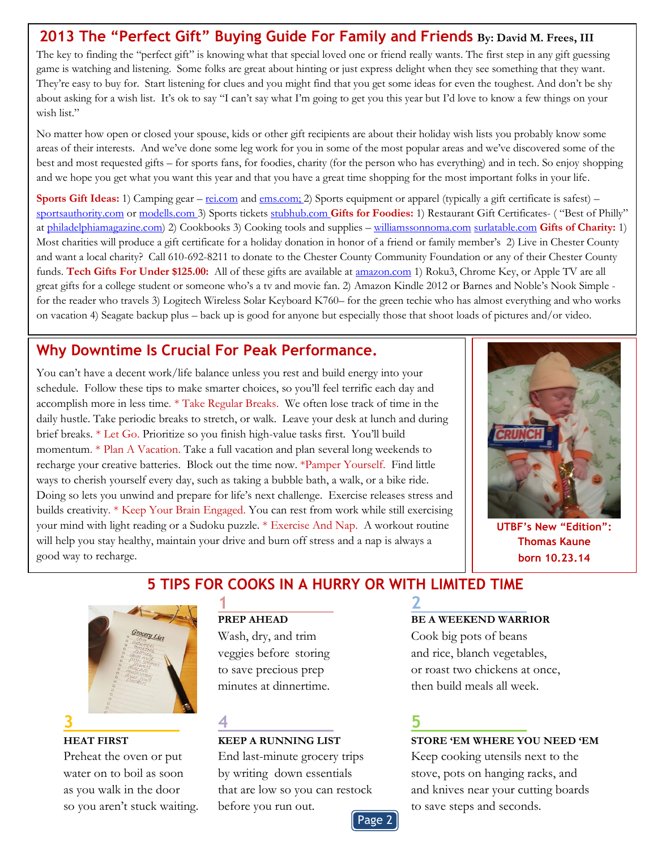## **2013 The "Perfect Gift" Buying Guide For Family and Friends By: David M. Frees, III**

The key to finding the "perfect gift" is knowing what that special loved one or friend really wants. The first step in any gift guessing game is watching and listening. Some folks are great about hinting or just express delight when they see something that they want. They're easy to buy for. Start listening for clues and you might find that you get some ideas for even the toughest. And don't be shy about asking for a wish list. It's ok to say "I can't say what I'm going to get you this year but I'd love to know a few things on your wish list."

No matter how open or closed your spouse, kids or other gift recipients are about their holiday wish lists you probably know some areas of their interests. And we've done some leg work for you in some of the most popular areas and we've discovered some of the best and most requested gifts – for sports fans, for foodies, charity (for the person who has everything) and in tech. So enjoy shopping and we hope you get what you want this year and that you have a great time shopping for the most important folks in your life.

**Sports Gift Ideas:** 1) Camping gear – <u>[rei.com](http://rei.com/)</u> and <u>ems.com;</u> 2) Sports equipment or apparel (typically a gift certificate is safest) – [sportsauthority.com](http://sportsauthority.com/) o[r modells.com](http://modells.com/) 3) Sports tickets [stubhub.com](http://www.stubhub.com/) **Gifts for Foodies:** 1) Restaurant Gift Certificates- ( "Best of Philly" at [philadelphiamagazine.com\)](http://philadelphiamagazine.com/) 2) Cookbooks 3) Cooking tools and supplies – [williamssonnoma.com](http://williamssonnoma.com/) [surlatable.com](http://www.surlatable.com/) **Gifts of Charity:** 1) Most charities will produce a gift certificate for a holiday donation in honor of a friend or family member's 2) Live in Chester County and want a local charity? Call 610-692-8211 to donate to the Chester County Community Foundation or any of their Chester County funds. **Tech Gifts For Under \$125.00:** All of these gifts are available at [amazon.com](http://amazon.com/) 1) Roku3, Chrome Key, or Apple TV are all great gifts for a college student or someone who's a tv and movie fan. 2) Amazon Kindle 2012 or Barnes and Noble's Nook Simple for the reader who travels 3) Logitech Wireless Solar Keyboard K760– for the green techie who has almost everything and who works on vacation 4) Seagate backup plus – back up is good for anyone but especially those that shoot loads of pictures and/or video.

# **Why Downtime Is Crucial For Peak Performance.**

You can't have a decent work/life balance unless you rest and build energy into your schedule. Follow these tips to make smarter choices, so you'll feel terrific each day and accomplish more in less time. \* Take Regular Breaks. We often lose track of time in the daily hustle. Take periodic breaks to stretch, or walk. Leave your desk at lunch and during brief breaks. \* Let Go. Prioritize so you finish high-value tasks first. You'll build momentum. \* Plan A Vacation. Take a full vacation and plan several long weekends to recharge your creative batteries. Block out the time now. \*Pamper Yourself. Find little ways to cherish yourself every day, such as taking a bubble bath, a walk, or a bike ride. Doing so lets you unwind and prepare for life's next challenge. Exercise releases stress and builds creativity. \* Keep Your Brain Engaged. You can rest from work while still exercising your mind with light reading or a Sudoku puzzle. \* Exercise And Nap. A workout routine will help you stay healthy, maintain your drive and burn off stress and a nap is always a good way to recharge.



**UTBF's New "Edition": Thomas Kaune born 10.23.14**

# **5 TIPS FOR COOKS IN A HURRY OR WITH LIMITED TIME**



# **1 2**

so you aren't stuck waiting. before you run out. to save steps and seconds.

### **PREP AHEAD BE A WEEKEND WARRIOR**

Wash, dry, and trim Cook big pots of beans veggies before storing and rice, blanch vegetables, to save precious prep or roast two chickens at once, minutes at dinnertime. then build meals all week.

### **HEAT FIRST KEEP A RUNNING LIST STORE 'EM WHERE YOU NEED 'EM**

Preheat the oven or put End last-minute grocery trips Keep cooking utensils next to the water on to boil as soon by writing down essentials stove, pots on hanging racks, and as you walk in the door that are low so you can restock and knives near your cutting boards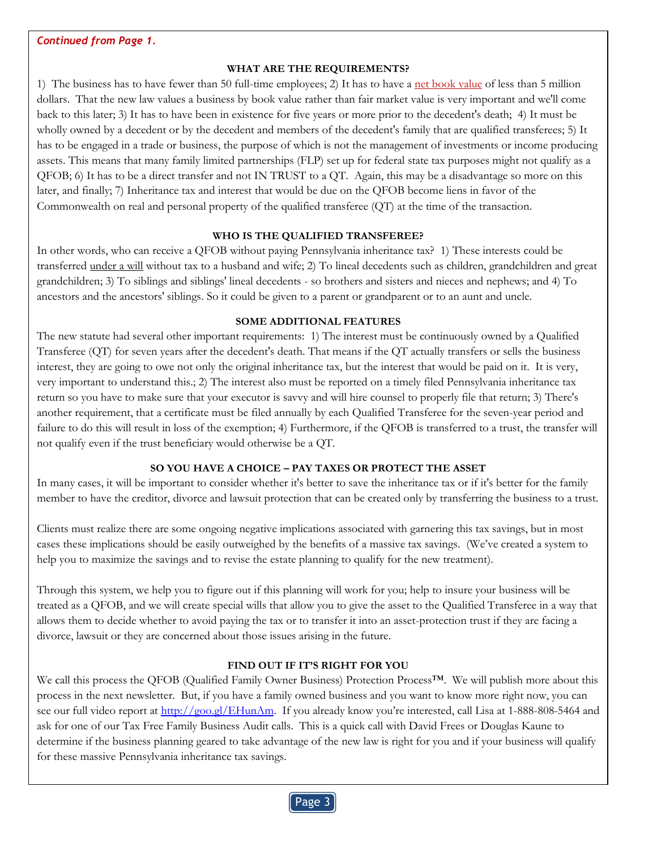### **WHAT ARE THE REQUIREMENTS?**

1) The business has to have fewer than 50 full-time employees; 2) It has to have a net book value of less than 5 million dollars. That the new law values a business by book value rather than fair market value is very important and we'll come back to this later; 3) It has to have been in existence for five years or more prior to the decedent's death; 4) It must be wholly owned by a decedent or by the decedent and members of the decedent's family that are qualified transferees; 5) It has to be engaged in a trade or business, the purpose of which is not the management of investments or income producing assets. This means that many family limited partnerships (FLP) set up for federal state tax purposes might not qualify as a QFOB; 6) It has to be a direct transfer and not IN TRUST to a QT. Again, this may be a disadvantage so more on this later, and finally; 7) Inheritance tax and interest that would be due on the QFOB become liens in favor of the Commonwealth on real and personal property of the qualified transferee (QT) at the time of the transaction.

### **WHO IS THE QUALIFIED TRANSFEREE?**

In other words, who can receive a QFOB without paying Pennsylvania inheritance tax? 1) These interests could be transferred under a will without tax to a husband and wife; 2) To lineal decedents such as children, grandchildren and great grandchildren; 3) To siblings and siblings' lineal decedents - so brothers and sisters and nieces and nephews; and 4) To ancestors and the ancestors' siblings. So it could be given to a parent or grandparent or to an aunt and uncle.

### **SOME ADDITIONAL FEATURES**

The new statute had several other important requirements: 1) The interest must be continuously owned by a Qualified Transferee (QT) for seven years after the decedent's death. That means if the QT actually transfers or sells the business interest, they are going to owe not only the original inheritance tax, but the interest that would be paid on it. It is very, very important to understand this.; 2) The interest also must be reported on a timely filed Pennsylvania inheritance tax return so you have to make sure that your executor is savvy and will hire counsel to properly file that return; 3) There's another requirement, that a certificate must be filed annually by each Qualified Transferee for the seven-year period and failure to do this will result in loss of the exemption; 4) Furthermore, if the QFOB is transferred to a trust, the transfer will not qualify even if the trust beneficiary would otherwise be a QT.

### **SO YOU HAVE A CHOICE – PAY TAXES OR PROTECT THE ASSET**

In many cases, it will be important to consider whether it's better to save the inheritance tax or if it's better for the family member to have the creditor, divorce and lawsuit protection that can be created only by transferring the business to a trust.

Clients must realize there are some ongoing negative implications associated with garnering this tax savings, but in most cases these implications should be easily outweighed by the benefits of a massive tax savings. (We've created a system to help you to maximize the savings and to revise the estate planning to qualify for the new treatment).

Through this system, we help you to figure out if this planning will work for you; help to insure your business will be treated as a QFOB, and we will create special wills that allow you to give the asset to the Qualified Transferee in a way that allows them to decide whether to avoid paying the tax or to transfer it into an asset-protection trust if they are facing a divorce, lawsuit or they are concerned about those issues arising in the future.

### **FIND OUT IF IT'S RIGHT FOR YOU**

We call this process the QFOB (Qualified Family Owner Business) Protection Process™. We will publish more about this process in the next newsletter. But, if you have a family owned business and you want to know more right now, you can see our full video report at [http://goo.gl/EHunAm.](http://goo.gl/EHunAm) If you already know you're interested, call Lisa at 1-888-808-5464 and ask for one of our Tax Free Family Business Audit calls. This is a quick call with David Frees or Douglas Kaune to determine if the business planning geared to take advantage of the new law is right for you and if your business will qualify for these massive Pennsylvania inheritance tax savings.